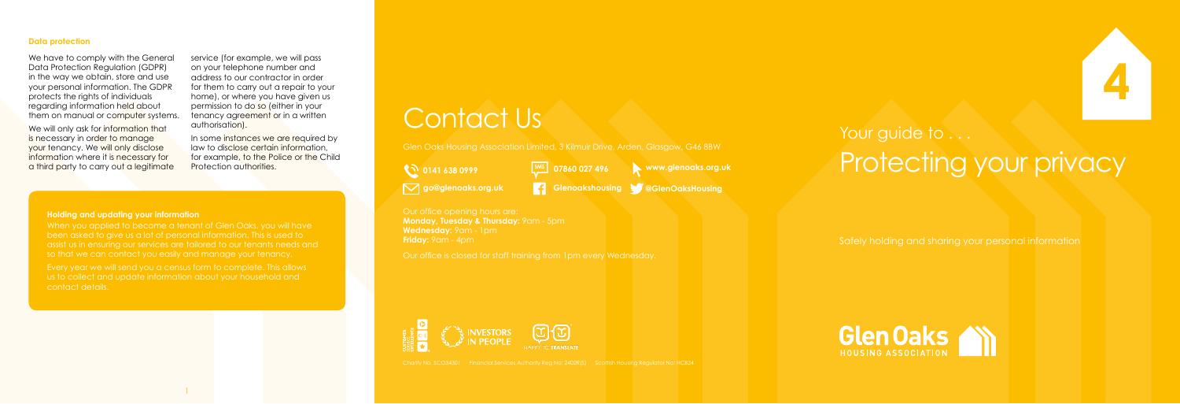## Your guide to . . . Protecting your privacy

Safely holding and sharing your personal information





Our office opening hours are: **Monday, Tuesday & Thursday:** 9am - 5pm **Wednesday:** 9am - 1pm **Friday:** 9am - 4pm

Glen Oaks Housing Association Limited, 3 Kilmuir Drive, Arden, Glasgow, G46 8BW

**0141 638 0999** 

Our office is closed for staff training from 1pm every Wednesday.



Charity No. SCO34301 Financial Services Authority Reg No: 2402R(S) Scottish Housing Regulator No: HCB24

We will only ask for information that is necessary in order to manage your tenancy. We will only disclose information where it is necessary for a third party to carry out a legitimate

**go@glenoaks.org.uk Glenoakshousing @GlenOaksHousing**



When you applied to become a tenant of Glen Oaks, you will have been asked to give us a lot of personal information. This is used to assist us in ensuring our services are tailored to our tenants needs and so that we can contact you easily and manage your tenancy.

service (for example, we will pass on your telephone number and address to our contractor in order for them to carry out a repair to your home), or where you have given us permission to do so (either in your tenancy agreement or in a written authorisation).

In some instances we are required by law to disclose certain information, for example, to the Police or the Child **Protection authorities.** 

### **Data protection**

We have to comply with the General Data Protection Regulation (GDPR) in the way we obtain, store and use your personal information. The GDPR protects the rights of individuals regarding information held about them on manual or computer systems.

#### **Holding and updating your information**

Every year we will send you a census form to complete. This allows us to collect and update information about your household and contact details.

# Contact Us